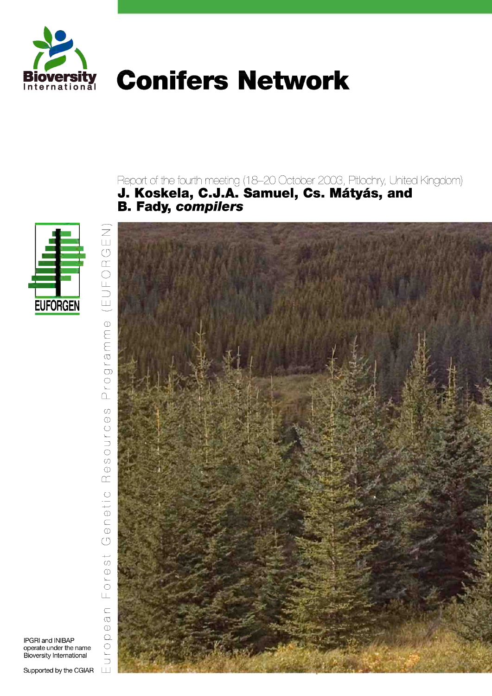

# **Conifers Network**

Report of the fourth meeting (18–20 October 2003, Pitlochry, United Kingdom)<br>**J. Koskela, C.J.A. Samuel, Cs. Mátyás, and<br>B. Fady, compilers** 



 $\frac{1}{\sqrt{2}}$ EUFOF L.  $\Phi$  $G$ ramm  $\overline{C}$  $\Box$  $\overline{O}$  $\bigcirc$ SOUTC  $\Phi$  $\square$  $\ominus\uparrow\,\mid\,\bigcirc$  $\overline{C}$  $\circlearrowleft$  $\overline{+}$  $\sigma$  $O \upharpoonright \Theta$  $\sqcup$  $\subset$  $\sigma$  $\oplus$  $\Omega$ U r O  $\sqcup$ 



IPGRI and INIBAP operate under the name Bioversity International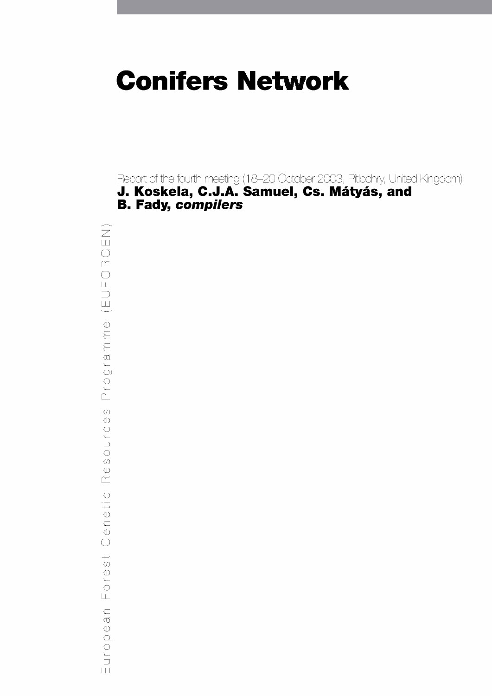# **Conifers Network**

Report of the fourth meeting (18-20 October 2003, Pitlochry, United Kingdom) J. Koskela, C.J.A. Samuel, Cs. Mátyás, and **B. Fady, compilers** 

 $\widehat{\mathbb{Z}}$ EUFORG  $\equiv$  $\oplus$  $G$ ramm  $\begin{array}{c}\n0 \\
0\n\end{array}$  $\omega$  $\circledD$ OUTCE  $\overline{O}$  $\circledcirc$  $\alpha$  $\circ$  $\theta$  $\bigcirc$  $\circlearrowleft$  $\overline{\phantom{0}}$  $\omega$  $O<sub>1</sub>$  $\overline{\sqcup}$  $\subset$  $\varpi$  $\circledcirc$  $\Omega$ Euro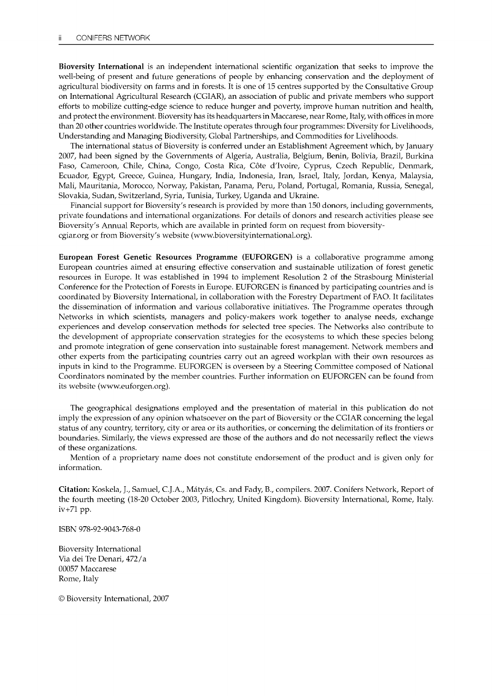Bioversity International is an independent international scientific organization that seeks to improve the well-being of present and future generations of people by enhancing conservation and the deployment of agricultural biodiversity on farms and in forests. It is one of 15 centres supported by the Consultative Group on International Agricultural Research (CGIAR), an association of public and private members who support efforts to mobilize cutting-edge science to reduce hunger and poverty, improve human nutrition and health, and protect the environment. Bioversity has its headquarters in Maccarese, near Rome, Italy, with offices in more than 20 other countries worldwide. The Institute operates through four programmes: Diversity for Livelihoods, Understanding and Managing Biodiversity, Global Partnerships, and Commodities for Livelihoods.

The international status of Bioversity is conferred under an Establishment Agreement which, by January 2007, had been signed by the Governments of Algeria, Australia, Belgium, Benin, Bolivia, Brazil, Burkina Faso, Cameroon, Chile, China, Congo, Costa Rica, Cote d'Ivoire, Cyprus, Czech Republic, Denmark, Ecuador, Egypt, Greece, Guinea, Hungary, India, Indonesia, Iran, Israel, Italy, Jordan, Kenya, Malaysia, Mali, Mauritania, Morocco, Norway, Pakistan, Panama, Peru, Poland, Portugal, Romania, Russia, Senegal, Slovakia, Sudan, Switzerland, Syria, Tunisia, Turkey, Uganda and Ukraine.

Financial support for Bioversity's research is provided by more than 150 donors, including governments, private foundations and international organizations. For details of donors and research activities please see Bioversity's Annual Reports, which are available in printed form on request from bioversitycgiar.org or from Bioversity's website (www.bioversityinternational.org).

European Forest Genetic Resources Programme (EUFORGEN) is a collaborative programme among European countries aimed at ensuring effective conservation and sustainable utilization of forest genetic resources in Europe. It was established in 1994 to implement Resolution 2 of the Strasbourg Ministerial Conference for the Protection of Forests in Europe. EUFORGEN is financed by participating countries and is coordinated by Bioversity International, in collaboration with the Forestry Department of FAO. It facilitates the dissemination of information and various collaborative initiatives. The Programme operates through Networks in which scientists, managers and policy-makers work together to analyse needs, exchange experiences and develop conservation methods for selected tree species. The Networks also contribute to the development of appropriate conservation strategies for the ecosystems to which these species belong and promote integration of gene conservation into sustainable forest management. Network members and other experts from the participating countries carry out an agreed workplan with their own resources as inputs in kind to the Programme. EUFORGEN is overseen by a Steering Committee composed of National Coordinators nominated by the member countries. Further information on EUFORGEN can be found from its website (www.euforgen.org).

The geographical designations employed and the presentation of material in this publication do not imply the expression of any opinion whatsoever on the part of Bioversity or the CGIAR concerning the legal status of any country, territory, city or area or its authorities, or concerning the delimitation of its frontiers or boundaries. Similarly, the views expressed are those of the authors and do not necessarily reflect the views of these organizations.

Mention of a proprietary name does not constitute endorsement of the product and is given only for information.

Citation: Koskela, J., Samuel, C.J.A., Matyas, Cs. and Fady, B., compilers. 2007. Conifers Network, Report of the fourth meeting (18-20 October 2003, Pitlochry, United Kingdom). Bioversity International, Rome, Italy. iv +71 pp.

ISBN 978-92-9043-768-0

Bioversity International Via dei Tre Denari, 472/a 00057 Maccarese Rome, Italy

© Bioversity International, 2007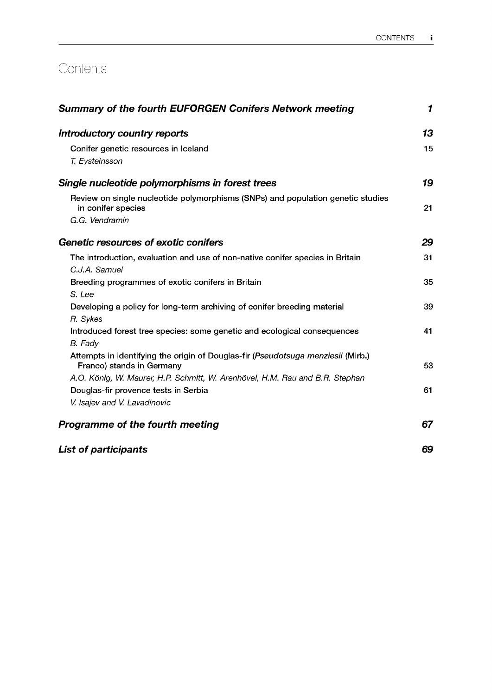# **Contents**

| <b>Summary of the fourth EUFORGEN Conifers Network meeting</b>                                        | 1  |  |
|-------------------------------------------------------------------------------------------------------|----|--|
| Introductory country reports                                                                          | 13 |  |
| Conifer genetic resources in Iceland                                                                  | 15 |  |
| T. Eysteinsson                                                                                        |    |  |
| Single nucleotide polymorphisms in forest trees                                                       | 19 |  |
| Review on single nucleotide polymorphisms (SNPs) and population genetic studies<br>in conifer species | 21 |  |
| G.G. Vendramin                                                                                        |    |  |
| Genetic resources of exotic conifers                                                                  | 29 |  |
| The introduction, evaluation and use of non-native conifer species in Britain                         | 31 |  |
| C.J.A. Samuel                                                                                         |    |  |
| Breeding programmes of exotic conifers in Britain                                                     | 35 |  |
| S. Lee                                                                                                |    |  |
| Developing a policy for long-term archiving of conifer breeding material                              | 39 |  |
| R. Sykes                                                                                              |    |  |
| Introduced forest tree species: some genetic and ecological consequences                              | 41 |  |
| B. Fady                                                                                               |    |  |
| Attempts in identifying the origin of Douglas-fir (Pseudotsuga menziesii (Mirb.)                      |    |  |
| Franco) stands in Germany                                                                             | 53 |  |
| A.O. König, W. Maurer, H.P. Schmitt, W. Arenhövel, H.M. Rau and B.R. Stephan                          |    |  |
| Douglas-fir provence tests in Serbia                                                                  | 61 |  |
| V. Isajev and V. Lavadinovic                                                                          |    |  |
| Programme of the fourth meeting                                                                       | 67 |  |
| <b>List of participants</b>                                                                           | 69 |  |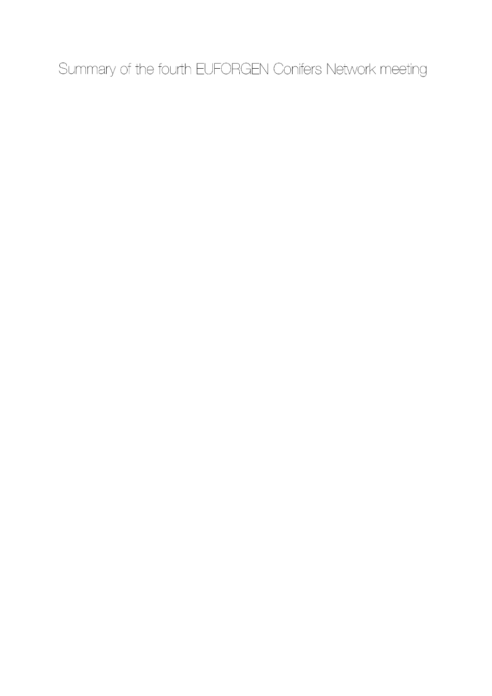Summary of the fourth EUFORGEN Conifers Network meeting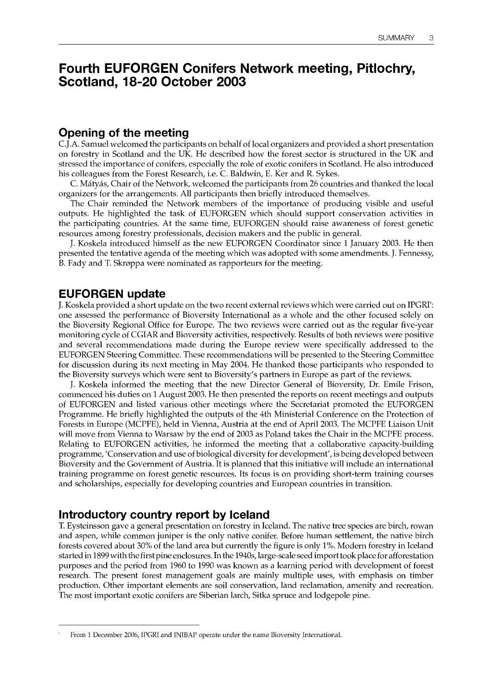# Fourth EUFORGEN Conifers Network meeting, Pitlochry, Scotland, 18-20 October 2003

## Opening of the meeting

C.J.A. Samuel welcomed the participants on behalf of local organizers and provided a short presentation on forestry in Scotland and the UK. He described how the forest sector is structured in the UK and stressed the importance of conifers, especially the role of exotic conifers in Scotland. He also introduced his colleagues from the Forest Research, i.e. C. Baldwin, E. Ker and R. Sykes.

C. Matyas, Chair of the Network, welcomed the participants from 26 countries and thanked the local organizers for the arrangements. All participants then briefly introduced themselves.

The Chair reminded the Network members of the importance of producing visible and useful outputs. He highlighted the task of EUFORGEN which should support conservation activities in the participating countries. At the same time, EUFORGEN should raise awareness of forest genetic resources among forestry professionals, decision makers and the public in general.

J. Koskela introduced himself as the new EUFORGEN Coordinator since 1 January 2003. He then presented the tentative agenda of the meeting which was adopted with some amendments. J. Fennessy, B. Fady and T. Skroppa were nominated as rapporteurs for the meeting.

## EUFORGEN update

J. Koskela provided a short update on the two recent external reviews which were carried out on IPGRP: one assessed the performance of Bioversity International as a whole and the other focused solely on the Bioversity Regional Office for Europe. The two reviews were carried out as the regular five-year monitoring cycle of CGIAR and Bioversity activities, respectively. Results of both reviews were positive and several recommendations made during the Europe review were specifically addressed to the EUFORGEN Steering Committee. These recommendations will be presented to the Steering Committee for discussion during its next meeting in May 2004. He thanked those participants who responded to the Bioversity surveys which were sent to Bioversity's partners in Europe as part of the reviews.

J. Koskela informed the meeting that the new Director General of Bioversity, Dr. Emile Frison, commenced his duties on 1 August 2003. He then presented the reports on recent meetings and outputs of EUFORGEN and listed various other meetings where the Secretariat promoted the EUFORGEN Programme. He briefly highlighted the outputs of the 4th Ministerial Conference on the Protection of Forests in Europe (MCPFE), held in Vienna, Austria at the end of April 2003. The MCPFE Liaison Unit will move from Vienna to Warsaw by the end of 2003 as Poland takes the Chair in the MCPFE process. Relating to EUFORGEN activities, he informed the meeting that a collaborative capacity-building programme, 'Conservation and use of biological diversity for development', is being developed between Bioversity and the Government of Austria. It is planned that this initiative will include an international training programme on forest genetic resources. Its focus is on providing short-term training courses and scholarships, especially for developing countries and European countries in transition.

## Introductory country report by Iceland

T. Eysteinsson gave a general presentation on forestry in Iceland. The native tree species are birch, rowan and aspen, while common juniper is the only native conifer. Before human settlement, the native birch forests covered about 30% of the land area but currently the figure is only 1%. Modern forestry in Iceland started in 1899 with the first pine enclosures. In the 1940s, large-scale seed import took place for afforestation purposes and the period from 1960 to 1990 was known as a learning period with development of forest research. The present forest management goals are mainly multiple uses, with emphasis on timber production. Other important elements are soil conservation, land reclamation, amenity and recreation. The most important exotic conifers are Siberian larch, Sitka spruce and lodgepole pine.

From 1 December 2006, IPGRI and INIBAP operate under the name Bioversity International.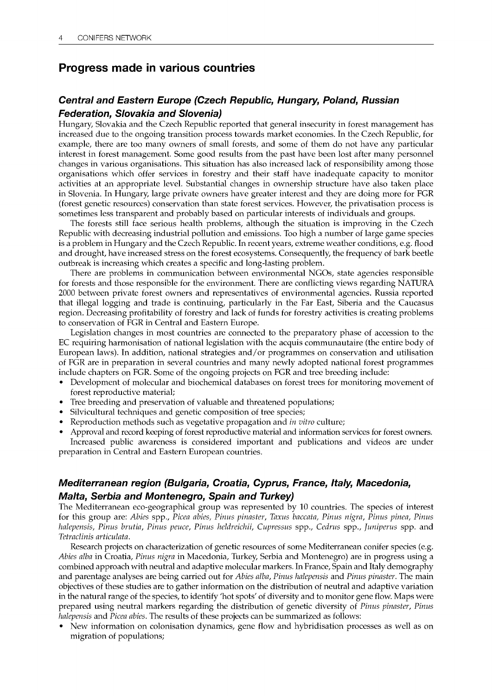## Progress made in various countries

## Central and Eastern Europe (Czech Republic, Hungary, Poland, Russian Federation, Slovakia and Slovenia)

Hungary, Slovakia and the Czech Republic reported that general insecurity in forest management has increased due to the ongoing transition process towards market economies. In the Czech Republic, for example, there are too many owners of small forests, and some of them do not have any particular interest in forest management. Some good results from the past have been lost after many personnel changes in various organisations. This situation has also increased lack of responsibility among those organisations which offer services in forestry and their staff have inadequate capacity to monitor activities at an appropriate level. Substantial changes in ownership structure have also taken place in Slovenia. In Hungary, large private owners have greater interest and they are doing more for FGR (forest genetic resources) conservation than state forest services. However, the privatisation process is sometimes less transparent and probably based on particular interests of individuals and groups.

The forests still face serious health problems, although the situation is improving in the Czech Republic with decreasing industrial pollution and emissions. Too high a number of large game species is a problem in Hungary and the Czech Republic. In recent years, extreme weather conditions, e.g. flood and drought, have increased stress on the forest ecosystems. Consequently, the frequency of bark beetle outbreak is increasing which creates a specific and long-lasting problem.

There are problems in communication between environmental NGOs, state agencies responsible for forests and those responsible for the environment. There are conflicting views regarding NATURA 2000 between private forest owners and representatives of environmental agencies. Russia reported that illegal logging and trade is continuing, particularly in the Far East, Siberia and the Caucasus region. Decreasing profitability of forestry and lack of funds for forestry activities is creating problems to conservation of FGR in Central and Eastern Europe.

Legislation changes in most countries are connected to the preparatory phase of accession to the EC requiring harmonisation of national legislation with the acquis communautaire (the entire body of European laws). In addition, national strategies and/or programmes on conservation and utilisation of FGR are in preparation in several countries and many newly adopted national forest programmes include chapters on FGR. Some of the ongoing projects on FGR and tree breeding include:

- Development of molecular and biochemical databases on forest trees for monitoring movement of forest reproductive material;
- Tree breeding and preservation of valuable and threatened populations;
- Silvicultural techniques and genetic composition of tree species;
- Reproduction methods such as vegetative propagation and in vitro culture;
- Approval and record keeping of forest reproductive material and information services for forest owners. Increased public awareness is considered important and publications and videos are under

preparation in Central and Eastern European countries.

## Mediterranean region (Bulgaria, Croatia, Cyprus, France, Italy, Macedonia, Malta, Serbia and Montenegro, Spain and Turkey)

The Mediterranean eco-geographical group was represented by 10 countries. The species of interest for this group are: Abies spp., Picea abies, Pinus pinaster, Taxus baccata, Pinus nigra, Pinus pinea, Pinus halepensis, Pinus brutia, Pinus peuce, Pinus heldreichii, Cupressus spp., Cedrus spp., Juniperus spp. and Tetraclinis articulata.

Research projects on characterization of genetic resources of some Mediterranean conifer species (e.g. Abies alba in Croatia, Pinus nigra in Macedonia, Turkey, Serbia and Montenegro) are in progress using a combined approach with neutral and adaptive molecular markers. In France, Spain and Italy demography and parentage analyses are being carried out for Abies alba, Pinus halepensis and Pinus pinaster. The main objectives of these studies are to gather information on the distribution of neutral and adaptive variation in the natural range of the species, to identify 'hot spots' of diversity and to monitor gene flow. Maps were prepared using neutral markers regarding the distribution of genetic diversity of Pinus pinaster, Pinus halepensis and Picea abies. The results of these projects can be summarized as follows:

New information on colonisation dynamics, gene flow and hybridisation processes as well as on migration of populations;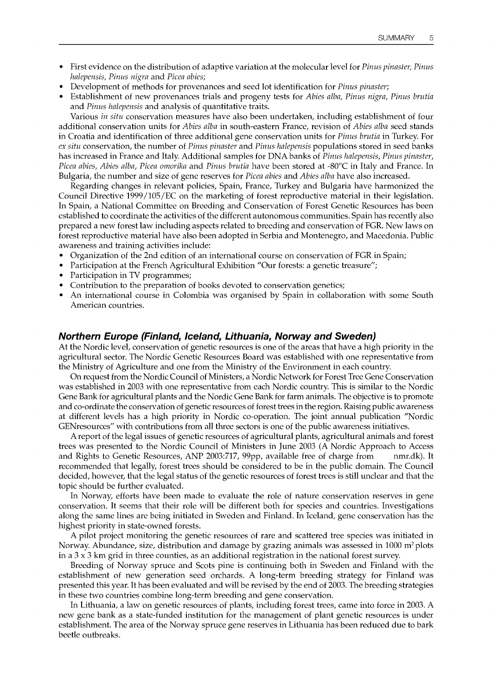- First evidence on the distribution of adaptive variation at the molecular level for *Pinus pinaster*, *Pinus* halepensis, Pinus nigra and Picea abies;
- Development of methods for provenances and seed lot identification for Pinus pinaster;
- Establishment of new provenances trials and progeny tests for Abies alba, Pinus nigra, Pinus brutia and Pinus halepensis and analysis of quantitative traits.

Various in situ conservation measures have also been undertaken, including establishment of four additional conservation units for Abies alba in south-eastern France, revision of Abies alba seed stands in Croatia and identification of three additional gene conservation units for Pinus brutia in Turkey. For ex situ conservation, the number of Pinus pinaster and Pinus halepensis populations stored in seed banks has increased in France and Italy. Additional samples for DNA banks of *Pinus halepensis, Pinus pinaster*, Picea abies, Abies alba, Picea omorika and Pinus brutia have been stored at -80°C in Italy and France. In Bulgaria, the number and size of gene reserves for *Picea abies* and *Abies alba* have also increased.

Regarding changes in relevant policies, Spain, France, Turkey and Bulgaria have harmonized the Council Directive 1999 /105 /EC on the marketing of forest reproductive material in their legislation. In Spain, a National Committee on Breeding and Conservation of Forest Genetic Resources has been established to coordinate the activities of the different autonomous communities. Spain has recently also prepared a new forest law including aspects related to breeding and conservation of FGR. New laws on forest reproductive material have also been adopted in Serbia and Montenegro, and Macedonia. Public awareness and training activities include:

- Organization of the 2nd edition of an international course on conservation of FGR in Spain;
- Participation at the French Agricultural Exhibition "Our forests: a genetic treasure";
- Participation in TV programmes;
- Contribution to the preparation of books devoted to conservation genetics;
- An international course in Colombia was organised by Spain in collaboration with some South American countries.

#### Northern Europe (Finland, Iceland, Lithuania, Norway and Sweden)

At the Nordic level, conservation of genetic resources is one of the areas that have a high priority in the agricultural sector. The Nordic Genetic Resources Board was established with one representative from the Ministry of Agriculture and one from the Ministry of the Environment in each country.

On request from the Nordic Council of Ministers, a Nordic Network for Forest Tree Gene Conservation was established in 2003 with one representative from each Nordic country. This is similar to the Nordic Gene Bank for agricultural plants and the Nordic Gene Bank for farm animals. The objective is to promote and co-ordinate the conservation of genetic resources of forest trees in the region. Raising public awareness at different levels has a high priority in Nordic co-operation. The joint annual publication "Nordic GENresources" with contributions from all three sectors is one of the public awareness initiatives.

A report of the legal issues of genetic resources of agricultural plants, agricultural animals and forest trees was presented to the Nordic Council of Ministers in June 2003 (A Nordic Approach to Access and Rights to Genetic Resources, ANP 2003:717, 99pp, available free of charge from nmr.dk). It recommended that legally, forest trees should be considered to be in the public domain. The Council decided, however, that the legal status of the genetic resources of forest trees is still unclear and that the topic should be further evaluated.

In Norway, efforts have been made to evaluate the role of nature conservation reserves in gene conservation. It seems that their role will be different both for species and countries. Investigations along the same lines are being initiated in Sweden and Finland. In Iceland, gene conservation has the highest priority in state-owned forests.

A pilot project monitoring the genetic resources of rare and scattered tree species was initiated in Norway. Abundance, size, distribution and damage by grazing animals was assessed in  $1000 \text{ m}^2$  plots in a  $3 \times 3$  km grid in three counties, as an additional registration in the national forest survey.

Breeding of Norway spruce and Scots pine is continuing both in Sweden and Finland with the establishment of new generation seed orchards. A long-term breeding strategy for Finland was presented this year. It has been evaluated and will be revised by the end of 2003. The breeding strategies in these two countries combine long-term breeding and gene conservation.

In Lithuania, a law on genetic resources of plants, including forest trees, came into force in 2003. A new gene bank as a state-funded institution for the management of plant genetic resources is under establishment. The area of the Norway spruce gene reserves in Lithuania has been reduced due to bark beetle outbreaks.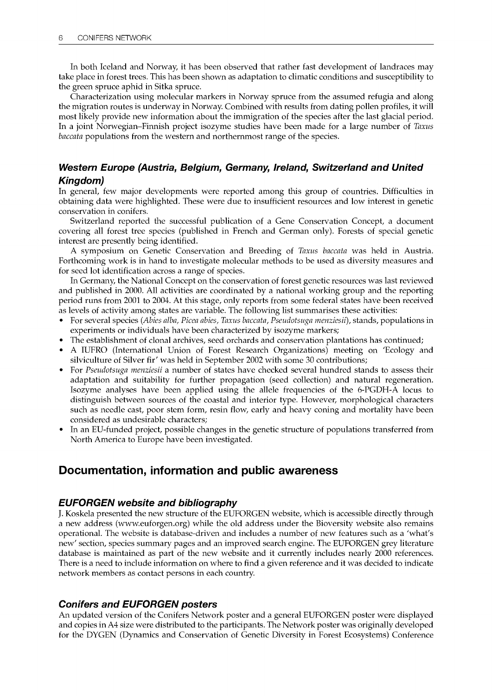In both Iceland and Norway, it has been observed that rather fast development of landraces may take place in forest trees. This has been shown as adaptation to climatic conditions and susceptibility to the green spruce aphid in Sitka spruce.

Characterization using molecular markers in Norway spruce from the assumed refugia and along the migration routes is underway in Norway. Combined with results from dating pollen profiles, it will most likely provide new information about the immigration of the species after the last glacial period. In a joint Norwegian-Finnish project isozyme studies have been made for a large number of Taxus baccata populations from the western and northernmost range of the species.

## Western Europe (Austria, Belgium, Germany, Ireland, Switzerland and United Kingdom)

In general, few major developments were reported among this group of countries. Difficulties in obtaining data were highlighted. These were due to insufficient resources and low interest in genetic conservation in conifers.

Switzerland reported the successful publication of a Gene Conservation Concept, a document covering all forest tree species (published in French and German only). Forests of special genetic interest are presently being identified.

A symposium on Genetic Conservation and Breeding of Taxus baccata was held in Austria. Forthcoming work is in hand to investigate molecular methods to be used as diversity measures and for seed lot identification across a range of species.

In Germany, the National Concept on the conservation of forest genetic resources was last reviewed and published in 2000. All activities are coordinated by a national working group and the reporting period runs from 2001 to 2004. At this stage, only reports from some federal states have been received as levels of activity among states are variable. The following list summarises these activities:

- For several species (Abies alba, Picea abies, Taxus baccata, Pseudotsuga menziesii), stands, populations in experiments or individuals have been characterized by isozyme markers;
- The establishment of clonal archives, seed orchards and conservation plantations has continued;
- A IUFRO (International Union of Forest Research Organizations) meeting on 'Ecology and silviculture of Silver fir' was held in September 2002 with some 30 contributions;
- For Pseudotsuga menziesii a number of states have checked several hundred stands to assess their adaptation and suitability for further propagation (seed collection) and natural regeneration. Isozyme analyses have been applied using the allele frequencies of the 6-PGDH-A locus to distinguish between sources of the coastal and interior type. However, morphological characters such as needle cast, poor stem form, resin flow, early and heavy coning and mortality have been considered as undesirable characters;
- In an EU-funded project, possible changes in the genetic structure of populations transferred from North America to Europe have been investigated.

## Documentation, information and public awareness

## EUFORGEN website and bibliography

J. Koskela presented the new structure of the EUFORGEN website, which is accessible directly through a new address (www.euforgen.org) while the old address under the Bioversity website also remains operational. The website is database-driven and includes a number of new features such as a 'what's new' section, species summary pages and an improved search engine. The EUFORGEN grey literature database is maintained as part of the new website and it currently includes nearly 2000 references. There is a need to include information on where to find a given reference and it was decided to indicate network members as contact persons in each country.

## Conifers and EUFORGEN posters

An updated version of the Conifers Network poster and a general EUFORGEN poster were displayed and copies in A4 size were distributed to the participants. The Network poster was originally developed for the DYGEN (Dynamics and Conservation of Genetic Diversity in Forest Ecosystems) Conference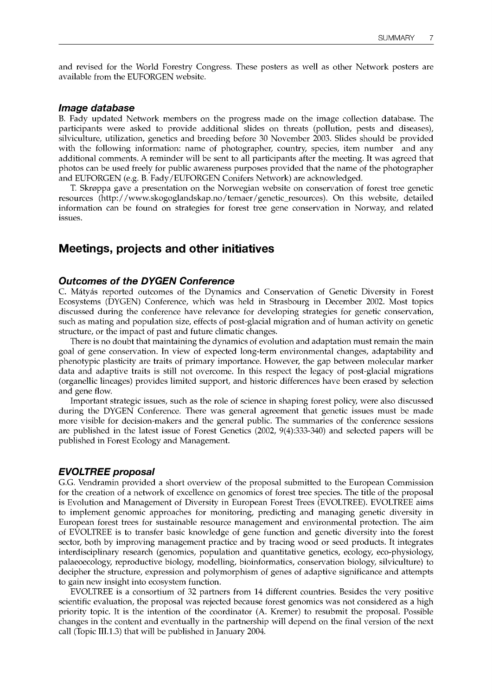and revised for the World Forestry Congress. These posters as well as other Network posters are available from the EUFORGEN website.

#### Image database

B. Fady updated Network members on the progress made on the image collection database. The participants were asked to provide additional slides on threats (pollution, pests and diseases), silviculture, utilization, genetics and breeding before 30 November 2003. Slides should be provided with the following information: name of photographer, country, species, item number and any additional comments. A reminder will be sent to all participants after the meeting. It was agreed that photos can be used freely for public awareness purposes provided that the name of the photographer and EUFORGEN (e.g. B. Fady/EUFORGEN Conifers Network) are acknowledged.

T. Skroppa gave a presentation on the Norwegian website on conservation of forest tree genetic resources (http:/ /www.skogoglandskap.no/temaer /genetic\_resources). On this website, detailed information can be found on strategies for forest tree gene conservation in Norway, and related issues.

## Meetings, projects and other initiatives

#### Outcomes of the DYGEN Conference

C. Matyas reported outcomes of the Dynamics and Conservation of Genetic Diversity in Forest Ecosystems (DYGEN) Conference, which was held in Strasbourg in December 2002. Most topics discussed during the conference have relevance for developing strategies for genetic conservation, such as mating and population size, effects of post-glacial migration and of human activity on genetic structure, or the impact of past and future climatic changes.

There is no doubt that maintaining the dynamics of evolution and adaptation must remain the main goal of gene conservation. In view of expected long-term environmental changes, adaptability and phenotypic plasticity are traits of primary importance. However, the gap between molecular marker data and adaptive traits is still not overcome. In this respect the legacy of post-glacial migrations (organellic lineages) provides limited support, and historic differences have been erased by selection and gene flow.

Important strategic issues, such as the role of science in shaping forest policy, were also discussed during the DYGEN Conference. There was general agreement that genetic issues must be made more visible for decision-makers and the general public. The summaries of the conference sessions are published in the latest issue of Forest Genetics (2002, 9(4):333-340) and selected papers will be published in Forest Ecology and Management.

#### EVOLTREE proposal

G.G. Vendramin provided a short overview of the proposal submitted to the European Commission for the creation of a network of excellence on genomics of forest tree species. The title of the proposal is Evolution and Management of Diversity in European Forest Trees (EVOLTREE). EVOLTREE aims to implement genomic approaches for monitoring, predicting and managing genetic diversity in European forest trees for sustainable resource management and environmental protection. The aim of EVOLTREE is to transfer basic knowledge of gene function and genetic diversity into the forest sector, both by improving management practice and by tracing wood or seed products. It integrates interdisciplinary research (genomics, population and quantitative genetics, ecology, eco-physiology, palaeoecology, reproductive biology, modelling, bioinformatics, conservation biology, silviculture) to decipher the structure, expression and polymorphism of genes of adaptive significance and attempts to gain new insight into ecosystem function.

EVOLTREE is a consortium of 32 partners from 14 different countries. Besides the very positive scientific evaluation, the proposal was rejected because forest genomics was not considered as a high priority topic. It is the intention of the coordinator (A. Kremer) to resubmit the proposal. Possible changes in the content and eventually in the partnership will depend on the final version of the next call (Topic 111.1.3) that will be published in January 2004.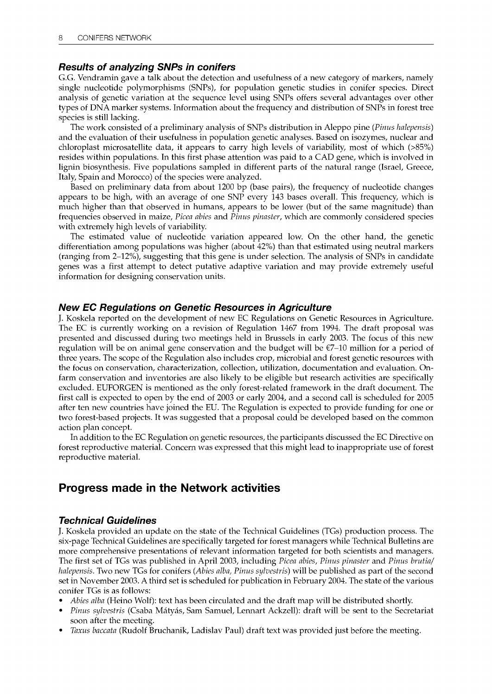#### Results of analyzing SNPs in conifers

G.G. Vendramin gave a talk about the detection and usefulness of a new category of markers, namely single nucleotide polymorphisms (SNPs), for population genetic studies in conifer species. Direct analysis of genetic variation at the sequence level using SNPs offers several advantages over other types of DNA marker systems. Information about the frequency and distribution of SNPs in forest tree species is still lacking.

The work consisted of a preliminary analysis of SNPs distribution in Aleppo pine (Pinus halepensis) and the evaluation of their usefulness in population genetic analyses. Based on isozymes, nuclear and chloroplast microsatellite data, it appears to carry high levels of variability, most of which (>85%) resides within populations. In this first phase attention was paid to a CAD gene, which is involved in lignin biosynthesis. Five populations sampled in different parts of the natural range (Israel, Greece, Italy, Spain and Morocco) of the species were analyzed.

Based on preliminary data from about 1200 by (base pairs), the frequency of nucleotide changes appears to be high, with an average of one SNP every 143 bases overall. This frequency, which is much higher than that observed in humans, appears to be lower (but of the same magnitude) than frequencies observed in maize, Picea abies and Pinus pinaster, which are commonly considered species with extremely high levels of variability.

The estimated value of nucleotide variation appeared low. On the other hand, the genetic differentiation among populations was higher (about 42%) than that estimated using neutral markers (ranging from 2-12%), suggesting that this gene is under selection. The analysis of SNPs in candidate genes was a first attempt to detect putative adaptive variation and may provide extremely useful information for designing conservation units.

#### New EC Regulations on Genetic Resources in Agriculture

J. Koskela reported on the development of new EC Regulations on Genetic Resources in Agriculture. The EC is currently working on a revision of Regulation 1467 from 1994. The draft proposal was presented and discussed during two meetings held in Brussels in early 2003. The focus of this new regulation will be on animal gene conservation and the budget will be  $\epsilon$ 7–10 million for a period of three years. The scope of the Regulation also includes crop, microbial and forest genetic resources with the focus on conservation, characterization, collection, utilization, documentation and evaluation. Onfarm conservation and inventories are also likely to be eligible but research activities are specifically excluded. EUFORGEN is mentioned as the only forest-related framework in the draft document. The first call is expected to open by the end of 2003 or early 2004, and a second call is scheduled for 2005 after ten new countries have joined the EU. The Regulation is expected to provide funding for one or two forest-based projects. It was suggested that a proposal could be developed based on the common action plan concept.

In addition to the EC Regulation on genetic resources, the participants discussed the EC Directive on forest reproductive material. Concern was expressed that this might lead to inappropriate use of forest reproductive material.

## Progress made in the Network activities

#### Technical Guidelines

J. Koskela provided an update on the state of the Technical Guidelines (TGs) production process. The six-page Technical Guidelines are specifically targeted for forest managers while Technical Bulletins are more comprehensive presentations of relevant information targeted for both scientists and managers. The first set of TGs was published in April 2003, including Picea abies, Pinus pinaster and Pinus brutia/ halepensis. Two new TGs for conifers (Abies alba, Pinus sylvestris) will be published as part of the second set in November 2003. A third set is scheduled for publication in February 2004. The state of the various conifer TGs is as follows:

- Abies alba (Heino Wolf): text has been circulated and the draft map will be distributed shortly.
- Pinus sylvestris (Csaba Mátyás, Sam Samuel, Lennart Ackzell): draft will be sent to the Secretariat soon after the meeting.
- Taxus baccata (Rudolf Bruchanik, Ladislav Paul) draft text was provided just before the meeting.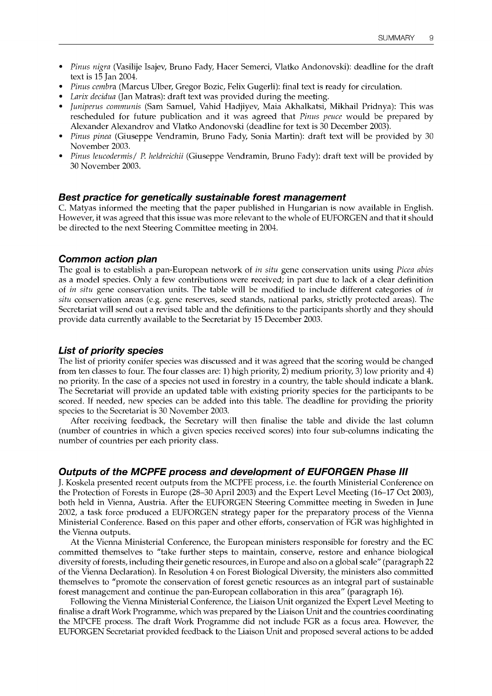- Pinus nigra (Vasilije Isajev, Bruno Fady, Hacer Semerci, Vlatko Andonovski): deadline for the draft text is 15 Jan 2004.
- Pinus cembra (Marcus Ulber, Gregor Bozic, Felix Gugerli): final text is ready for circulation.
- Larix decidua (Jan Matras): draft text was provided during the meeting.
- Juniperus communis (Sam Samuel, Vahid Hadjiyev, Maia Akhalkatsi, Mikhail Pridnya): This was rescheduled for future publication and it was agreed that Pinus peuce would be prepared by Alexander Alexandrov and Vlatko Andonovski (deadline for text is 30 December 2003).
- Pinus pinea (Giuseppe Vendramin, Bruno Fady, Sonia Martin): draft text will be provided by 30 November 2003.
- Pinus leucodermis/ P. heldreichii (Giuseppe Vendramin, Bruno Fady): draft text will be provided by 30 November 2003.

#### Best practice for genetically sustainable forest management

C. Matyas informed the meeting that the paper published in Hungarian is now available in English. However, it was agreed that this issue was more relevant to the whole of EUFORGEN and that it should be directed to the next Steering Committee meeting in 2004.

#### Common action plan

The goal is to establish a pan-European network of in situ gene conservation units using Picea abies as a model species. Only a few contributions were received; in part due to lack of a clear definition of in situ gene conservation units. The table will be modified to include different categories of in situ conservation areas (e.g. gene reserves, seed stands, national parks, strictly protected areas). The Secretariat will send out a revised table and the definitions to the participants shortly and they should provide data currently available to the Secretariat by 15 December 2003.

#### List of priority species

The list of priority conifer species was discussed and it was agreed that the scoring would be changed from ten classes to four. The four classes are: 1) high priority, 2) medium priority, 3) low priority and 4) no priority. In the case of a species not used in forestry in a country, the table should indicate a blank. The Secretariat will provide an updated table with existing priority species for the participants to be scored. If needed, new species can be added into this table. The deadline for providing the priority species to the Secretariat is 30 November 2003.

After receiving feedback, the Secretary will then finalise the table and divide the last column (number of countries in which a given species received scores) into four sub-columns indicating the number of countries per each priority class.

#### Outputs of the MCPFE process and development of EUFORGEN Phase III

J. Koskela presented recent outputs from the MCPFE process, i.e. the fourth Ministerial Conference on the Protection of Forests in Europe (28-30 April 2003) and the Expert Level Meeting (16-17 Oct 2003), both held in Vienna, Austria. After the EUFORGEN Steering Committee meeting in Sweden in June 2002, a task force produced a EUFORGEN strategy paper for the preparatory process of the Vienna Ministerial Conference. Based on this paper and other efforts, conservation of FGR was highlighted in the Vienna outputs.

At the Vienna Ministerial Conference, the European ministers responsible for forestry and the EC committed themselves to "take further steps to maintain, conserve, restore and enhance biological diversity of forests, including their genetic resources, in Europe and also on a global scale" (paragraph 22 of the Vienna Declaration). In Resolution 4 on Forest Biological Diversity, the ministers also committed themselves to "promote the conservation of forest genetic resources as an integral part of sustainable forest management and continue the pan-European collaboration in this area" (paragraph 16).

Following the Vienna Ministerial Conference, the Liaison Unit organized the Expert Level Meeting to finalise a draft Work Programme, which was prepared by the Liaison Unit and the countries coordinating the MPCFE process. The draft Work Programme did not include FGR as a focus area. However, the EUFORGEN Secretariat provided feedback to the Liaison Unit and proposed several actions to be added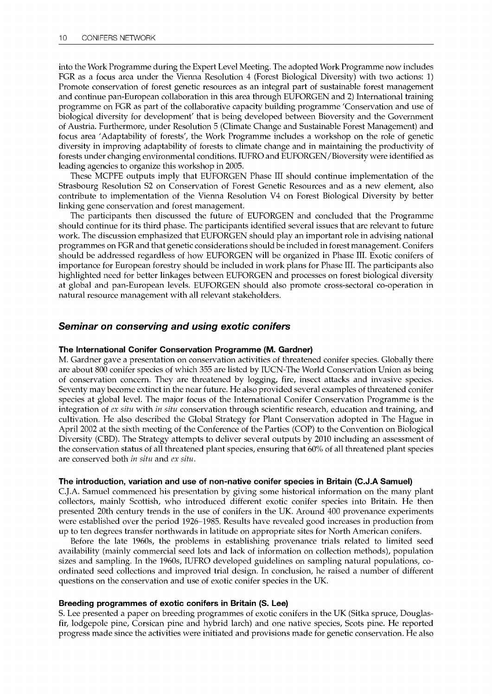into the Work Programme during the Expert Level Meeting. The adopted Work Programme now includes FGR as a focus area under the Vienna Resolution 4 (Forest Biological Diversity) with two actions: 1) Promote conservation of forest genetic resources as an integral part of sustainable forest management and continue pan-European collaboration in this area through EUFORGEN and 2) International training programme on FGR as part of the collaborative capacity building programme 'Conservation and use of biological diversity for development' that is being developed between Bioversity and the Government of Austria. Furthermore, under Resolution 5 (Climate Change and Sustainable Forest Management) and focus area 'Adaptability of forests', the Work Programme includes a workshop on the role of genetic diversity in improving adaptability of forests to climate change and in maintaining the productivity of forests under changing environmental conditions. IUFRO and EUFORGEN/Bioversity were identified as leading agencies to organize this workshop in 2005.

These MCPFE outputs imply that EUFORGEN Phase III should continue implementation of the Strasbourg Resolution S2 on Conservation of Forest Genetic Resources and as a new element, also contribute to implementation of the Vienna Resolution V4 on Forest Biological Diversity by better linking gene conservation and forest management.

The participants then discussed the future of EUFORGEN and concluded that the Programme should continue for its third phase. The participants identified several issues that are relevant to future work. The discussion emphasized that EUFORGEN should play an important role in advising national programmes on FGR and that genetic considerations should be included in forest management. Conifers should be addressed regardless of how EUFORGEN will be organized in Phase III. Exotic conifers of importance for European forestry should be included in work plans for Phase III. The participants also highlighted need for better linkages between EUFORGEN and processes on forest biological diversity at global and pan-European levels. EUFORGEN should also promote cross-sectoral co-operation in natural resource management with all relevant stakeholders.

#### Seminar on conserving and using exotic conifers

#### The International Conifer Conservation Programme (M. Gardner)

M. Gardner gave a presentation on conservation activities of threatened conifer species. Globally there are about 800 conifer species of which 355 are listed by IUCN-The World Conservation Union as being of conservation concern. They are threatened by logging, fire, insect attacks and invasive species. Seventy may become extinct in the near future. He also provided several examples of threatened conifer species at global level. The major focus of the International Conifer Conservation Programme is the integration of ex situ with in situ conservation through scientific research, education and training, and cultivation. He also described the Global Strategy for Plant Conservation adopted in The Hague in April 2002 at the sixth meeting of the Conference of the Parties (COP) to the Convention on Biological Diversity (CBD). The Strategy attempts to deliver several outputs by 2010 including an assessment of the conservation status of all threatened plant species, ensuring that 60% of all threatened plant species are conserved both in situ and ex situ.

#### The introduction, variation and use of non-native conifer species in Britain (C.J.A Samuel)

C.J.A. Samuel commenced his presentation by giving some historical information on the many plant collectors, mainly Scottish, who introduced different exotic conifer species into Britain. He then presented 20th century trends in the use of conifers in the UK. Around 400 provenance experiments were established over the period 1926-1985. Results have revealed good increases in production from up to ten degrees transfer northwards in latitude on appropriate sites for North American conifers.

Before the late 1960s, the problems in establishing provenance trials related to limited seed availability (mainly commercial seed lots and lack of information on collection methods), population sizes and sampling. In the 1960s, IUFRO developed guidelines on sampling natural populations, coordinated seed collections and improved trial design. In conclusion, he raised a number of different questions on the conservation and use of exotic conifer species in the UK.

#### Breeding programmes of exotic conifers in Britain (S. Lee)

S. Lee presented a paper on breeding programmes of exotic conifers in the UK (Sitka spruce, Douglasfir, lodgepole pine, Corsican pine and hybrid larch) and one native species, Scots pine. He reported progress made since the activities were initiated and provisions made for genetic conservation. He also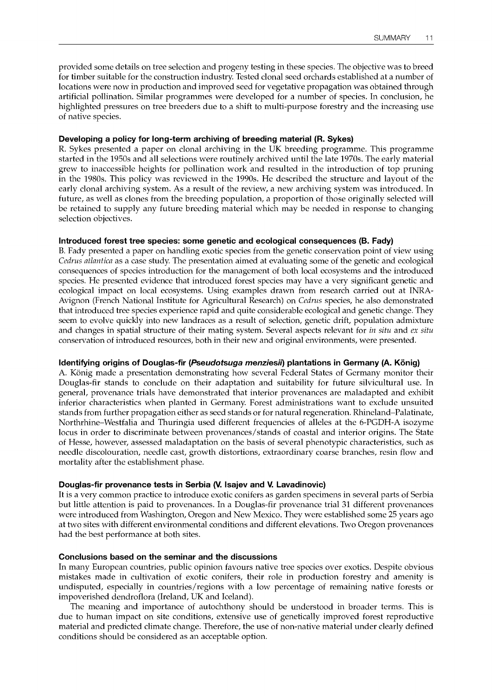provided some details on tree selection and progeny testing in these species. The objective was to breed for timber suitable for the construction industry. Tested clonal seed orchards established at a number of locations were now in production and improved seed for vegetative propagation was obtained through artificial pollination. Similar programmes were developed for a number of species. In conclusion, he highlighted pressures on tree breeders due to a shift to multi-purpose forestry and the increasing use of native species.

#### Developing a policy for long-term archiving of breeding material (R. Sykes)

R. Sykes presented a paper on clonal archiving in the UK breeding programme. This programme started in the 1950s and all selections were routinely archived until the late 1970s. The early material grew to inaccessible heights for pollination work and resulted in the introduction of top pruning in the 1980s. This policy was reviewed in the 1990s. He described the structure and layout of the early clonal archiving system. As a result of the review, a new archiving system was introduced. In future, as well as clones from the breeding population, a proportion of those originally selected will be retained to supply any future breeding material which may be needed in response to changing selection objectives.

#### Introduced forest tree species: some genetic and ecological consequences (B. Fady)

B. Fady presented a paper on handling exotic species from the genetic conservation point of view using Cedrus atlantica as a case study. The presentation aimed at evaluating some of the genetic and ecological consequences of species introduction for the management of both local ecosystems and the introduced species. He presented evidence that introduced forest species may have a very significant genetic and ecological impact on local ecosystems. Using examples drawn from research carried out at INRA-Avignon (French National Institute for Agricultural Research) on Cedrus species, he also demonstrated that introduced tree species experience rapid and quite considerable ecological and genetic change. They seem to evolve quickly into new landraces as a result of selection, genetic drift, population admixture and changes in spatial structure of their mating system. Several aspects relevant for in situ and ex situ conservation of introduced resources, both in their new and original environments, were presented.

#### Identifying origins of Douglas-fir (Pseudotsuga menziesii) plantations in Germany (A. König)

A. Konig made a presentation demonstrating how several Federal States of Germany monitor their Douglas-fir stands to conclude on their adaptation and suitability for future silvicultural use. In general, provenance trials have demonstrated that interior provenances are maladapted and exhibit inferior characteristics when planted in Germany. Forest administrations want to exclude unsuited stands from further propagation either as seed stands or for natural regeneration. Rhineland-Palatinate, Northrhine-Westfalia and Thuringia used different frequencies of alleles at the 6-PGDH-A isozyme locus in order to discriminate between provenances/stands of coastal and interior origins. The State of Hesse, however, assessed maladaptation on the basis of several phenotypic characteristics, such as needle discolouration, needle cast, growth distortions, extraordinary coarse branches, resin flow and mortality after the establishment phase.

#### Douglas-fir provenance tests in Serbia (V. Isajev and V. Lavadinovic)

It is a very common practice to introduce exotic conifers as garden specimens in several parts of Serbia but little attention is paid to provenances. In a Douglas-fir provenance trial 31 different provenances were introduced from Washington, Oregon and New Mexico. They were established some 25 years ago at two sites with different environmental conditions and different elevations. Two Oregon provenances had the best performance at both sites.

#### Conclusions based on the seminar and the discussions

In many European countries, public opinion favours native tree species over exotics. Despite obvious mistakes made in cultivation of exotic conifers, their role in production forestry and amenity is undisputed, especially in countries/regions with a low percentage of remaining native forests or impoverished dendroflora (Ireland, UK and Iceland).

The meaning and importance of autochthony should be understood in broader terms. This is due to human impact on site conditions, extensive use of genetically improved forest reproductive material and predicted climate change. Therefore, the use of non-native material under clearly defined conditions should be considered as an acceptable option.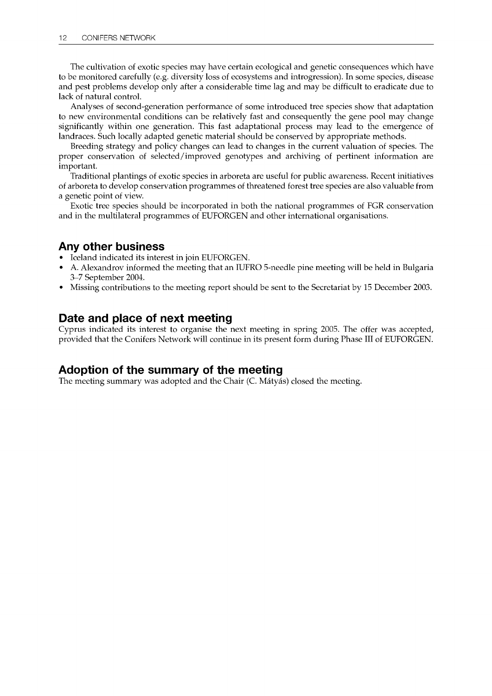The cultivation of exotic species may have certain ecological and genetic consequences which have to be monitored carefully (e.g. diversity loss of ecosystems and introgression). In some species, disease and pest problems develop only after a considerable time lag and may be difficult to eradicate due to lack of natural control.

Analyses of second-generation performance of some introduced tree species show that adaptation to new environmental conditions can be relatively fast and consequently the gene pool may change significantly within one generation. This fast adaptational process may lead to the emergence of landraces. Such locally adapted genetic material should be conserved by appropriate methods.

Breeding strategy and policy changes can lead to changes in the current valuation of species. The proper conservation of selected/improved genotypes and archiving of pertinent information are important.

Traditional plantings of exotic species in arboreta are useful for public awareness. Recent initiatives of arboreta to develop conservation programmes of threatened forest tree species are also valuable from a genetic point of view.

Exotic tree species should be incorporated in both the national programmes of FGR conservation and in the multilateral programmes of EUFORGEN and other international organisations.

## Any other business

- Iceland indicated its interest in join EUFORGEN.
- A. Alexandrov informed the meeting that an IUFRO 5-needle pine meeting will be held in Bulgaria 3-7 September 2004.
- Missing contributions to the meeting report should be sent to the Secretariat by 15 December 2003.

## Date and place of next meeting

Cyprus indicated its interest to organise the next meeting in spring 2005. The offer was accepted, provided that the Conifers Network will continue in its present form during Phase III of EUFORGEN.

## Adoption of the summary of the meeting

The meeting summary was adopted and the Chair (C. Mátyás) closed the meeting.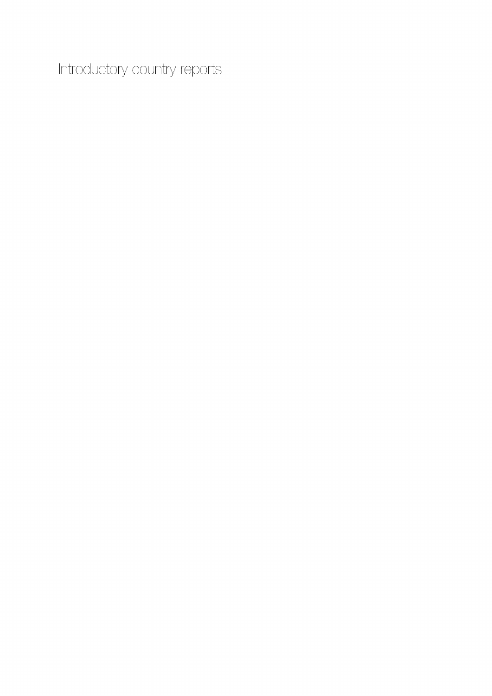Introductory country reports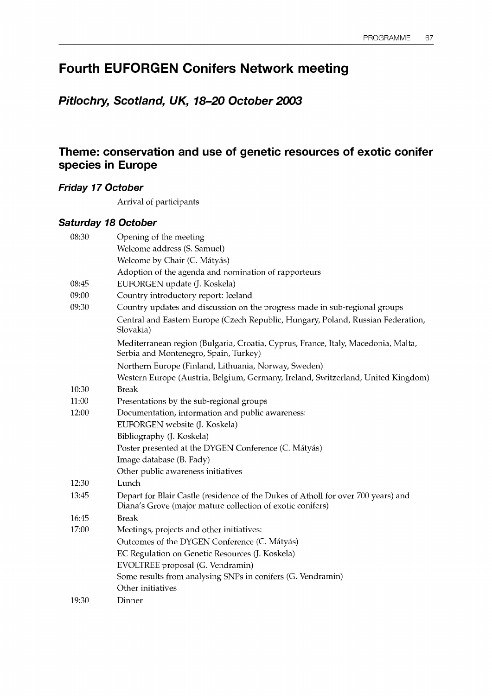# Fourth EUFORGEN Conifers Network meeting

# Pitlochry, Scotland, UK, 18-20 October 2003

# Theme: conservation and use of genetic resources of exotic conifer species in Europe

## Friday 17 October

Arrival of participants

## Saturday 18 October

| 08:30 | Opening of the meeting                                                                                                                          |
|-------|-------------------------------------------------------------------------------------------------------------------------------------------------|
|       | Welcome address (S. Samuel)                                                                                                                     |
|       | Welcome by Chair (C. Mátyás)                                                                                                                    |
|       | Adoption of the agenda and nomination of rapporteurs                                                                                            |
| 08:45 | EUFORGEN update (J. Koskela)                                                                                                                    |
| 09:00 | Country introductory report: Iceland                                                                                                            |
| 09:30 | Country updates and discussion on the progress made in sub-regional groups                                                                      |
|       | Central and Eastern Europe (Czech Republic, Hungary, Poland, Russian Federation,<br>Slovakia)                                                   |
|       | Mediterranean region (Bulgaria, Croatia, Cyprus, France, Italy, Macedonia, Malta,<br>Serbia and Montenegro, Spain, Turkey)                      |
|       | Northern Europe (Finland, Lithuania, Norway, Sweden)                                                                                            |
|       | Western Europe (Austria, Belgium, Germany, Ireland, Switzerland, United Kingdom)                                                                |
| 10:30 | <b>Break</b>                                                                                                                                    |
| 11:00 | Presentations by the sub-regional groups                                                                                                        |
| 12:00 | Documentation, information and public awareness:                                                                                                |
|       | EUFORGEN website (J. Koskela)                                                                                                                   |
|       | Bibliography (J. Koskela)                                                                                                                       |
|       | Poster presented at the DYGEN Conference (C. Mátyás)                                                                                            |
|       | Image database (B. Fady)                                                                                                                        |
|       | Other public awareness initiatives                                                                                                              |
| 12:30 | Lunch                                                                                                                                           |
| 13:45 | Depart for Blair Castle (residence of the Dukes of Atholl for over 700 years) and<br>Diana's Grove (major mature collection of exotic conifers) |
| 16:45 | <b>Break</b>                                                                                                                                    |
| 17:00 | Meetings, projects and other initiatives:                                                                                                       |
|       | Outcomes of the DYGEN Conference (C. Mátyás)                                                                                                    |
|       | EC Regulation on Genetic Resources (J. Koskela)                                                                                                 |
|       | EVOLTREE proposal (G. Vendramin)                                                                                                                |
|       | Some results from analysing SNPs in conifers (G. Vendramin)                                                                                     |
|       | Other initiatives                                                                                                                               |
| 19:30 | Dinner                                                                                                                                          |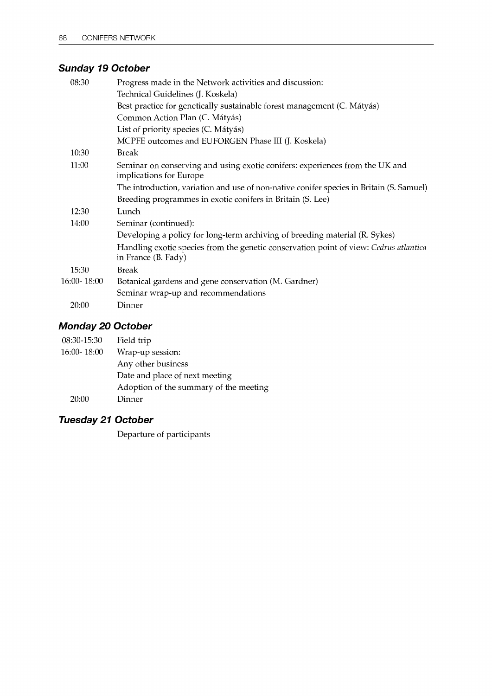# Sunday 19 October

| 08:30       | Progress made in the Network activities and discussion:                                                      |
|-------------|--------------------------------------------------------------------------------------------------------------|
|             | Technical Guidelines (J. Koskela)                                                                            |
|             | Best practice for genetically sustainable forest management (C. Mátyás)                                      |
|             | Common Action Plan (C. Mátyás)                                                                               |
|             | List of priority species (C. Mátyás)                                                                         |
|             | MCPFE outcomes and EUFORGEN Phase III (J. Koskela)                                                           |
| 10:30       | <b>Break</b>                                                                                                 |
| 11:00       | Seminar on conserving and using exotic conifers: experiences from the UK and<br>implications for Europe      |
|             | The introduction, variation and use of non-native conifer species in Britain (S. Samuel)                     |
|             | Breeding programmes in exotic conifers in Britain (S. Lee)                                                   |
| 12:30       | Lunch                                                                                                        |
| 14:00       | Seminar (continued):                                                                                         |
|             | Developing a policy for long-term archiving of breeding material (R. Sykes)                                  |
|             | Handling exotic species from the genetic conservation point of view: Cedrus atlantica<br>in France (B. Fady) |
| 15:30       | <b>Break</b>                                                                                                 |
| 16:00-18:00 | Botanical gardens and gene conservation (M. Gardner)                                                         |
|             | Seminar wrap-up and recommendations                                                                          |
| 20:00       | Dinner                                                                                                       |

# Monday 20 October

| 08:30-15:30     | Field trip                             |
|-----------------|----------------------------------------|
| $16:00 - 18:00$ | Wrap-up session:                       |
|                 | Any other business                     |
|                 | Date and place of next meeting         |
|                 | Adoption of the summary of the meeting |
| 20:00           | Dinner                                 |

# Tuesday 21 October

Departure of participants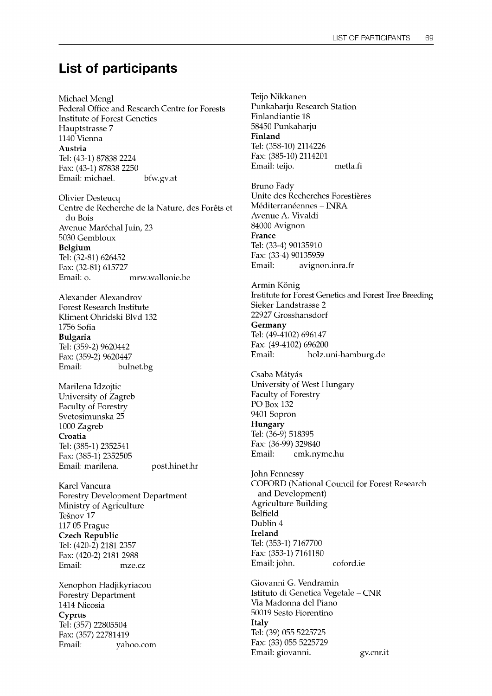# List of participants

Michael Mengl Federal Office and Research Centre for Forests Institute of Forest Genetics Hauptstrasse 7 1140 Vienna Austria Tel: (43-1) 87838 2224 Fax: (43-1) 87838 2250 Email: michael. bfw.gv.at

Olivier Desteucq Centre de Recherche de la Nature, des Forets et du Bois Avenue Maréchal Juin, 23 5030 Gembloux Belgium Tel: (32-81) 626452 Fax: (32-81) 615727 Email: o. mrw.wallonie.be

Alexander Alexandrov Forest Research Institute Kliment Ohridski Blvd 132 1756 Sofia Bulgaria Tel: (359-2) 9620442 Fax: (359-2) 9620447 Email: bulnet.bg

Marilena Idzojtic University of Zagreb Faculty of Forestry Svetosimunska 25 1000 Zagreb Croatia Tel: (385-1) 2352541 Fax: (385-1) 2352505 Email: marilena. post.hinet.hr

Karel Vancura Forestry Development Department Ministry of Agriculture Tešnov 17 117 05 Prague Czech Republic Tel: (420-2) 2181 2357 Fax: (420-2) 2181 2988 Email: mze.cz

Xenophon Hadjikyriacou Forestry Department 1414 Nicosia Cyprus Tel: (357) 22805504 Fax: (357) 22781419 Email: yahoo.com

Teijo Nikkanen Punkaharju Research Station Finlandiantie 18 58450 Punkaharju Finland Tel: (358-10) 2114226 Fax: (385-10) 2114201 Email: teijo. metla.fi

Bruno Fady Unite des Recherches Forestières Méditerranéennes - INRA Avenue A. Vivaldi 84000 Avignon France Tel: (33-4) 90135910 Fax: (33-4) 90135959 Email: avignon.inra.fr

Armin König Institute for Forest Genetics and Forest Tree Breeding Sieker Landstrasse 2 22927 Grosshansdorf Germany Tel: (49-4102) 696147 Fax: (49-4102) 696200 Email: holz.uni-hamburg.de

Csaba Mátyás University of West Hungary Faculty of Forestry PO Box 132 9401 Sopron Hungary Tel: (36-9) 518395 Fax: (36-99) 329840 Email: emk.nyme.hu

John Fennessy COFORD (National Council for Forest Research and Development) Agriculture Building Belfield Dublin 4 Ireland Tel: (353-1) 7167700 Fax: (353-1) 7161180 Email: john. coford.ie

Giovanni G. Vendramin Istituto di Genetica Vegetale - CNR Via Madonna del Piano 50019 Sesto Fiorentino Italy Tel: (39) 055 5225725 Fax: (33) 055 5225729 Email: giovanni. gv.cnr.it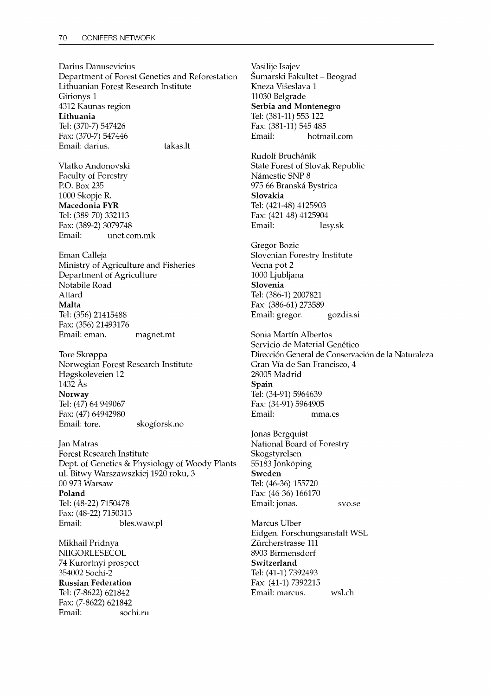Darius Danusevicius Department of Forest Genetics and Reforestation Lithuanian Forest Research Institute Girionys 1 4312 Kaunas region Lithuania Tel: (370-7) 547426 Fax: (370-7) 547446 Email: darius. takas.lt

Vlatko Andonovski Faculty of Forestry P.O. Box 235 1000 Skopje R. Macedonia FYR Tel: (389-70) 332113 Fax: (389-2) 3079748 Email: unet.com.mk

Eman Calleja Ministry of Agriculture and Fisheries Department of Agriculture Notabile Road Attard Malta Tel: (356) 21415488 Fax: (356) 21493176 Email: eman. magnet.mt

Tore Skroppa Norwegian Forest Research Institute Flogskoleveien 12 1432 As Norway Tel: (47) 64 949067 Fax: (47) 64942980 Email: tore. skogforsk.no

Jan Matras Forest Research Institute Dept. of Genetics & Physiology of Woody Plants ul. Bitwy Warszawszkiej 1920 roku, 3 00 973 Warsaw Poland Tel: (48-22) 7150478 Fax: (48-22) 7150313 Email: bles.waw.pl

Mikhail Pridnya NIIGORLESECOL 74 Kurortnyi prospect 354002 Sochi-2 Russian Federation Tel: (7-8622) 621842 Fax: (7-8622) 621842 Email: sochi.ru Vasilije Isajev Šumarski Fakultet - Beograd Kneza Višeslava 1 11030 Belgrade Serbia and Montenegro Tel: (381-11) 553 122 Fax: (381-11) 545 485 Email: hotmail.com

Rudolf Bruchanik State Forest of Slovak Republic Námestie SNP 8 975 66 Branska Bystrica Slovakia Tel: (421-48) 4125903 Fax: (421-48) 4125904 Email: lesy.sk

Gregor Bozic Slovenian Forestry Institute Vecna pot 2 1000 Ljubljana Slovenia Tel: (386-1) 2007821 Fax: (386-61) 273589 Email: gregor. gozdis.si

Sonia Martin Albertos Servicio de Material Genético Direccion General de Conservacion de la Naturaleza Gran Via de San Francisco, 4 28005 Madrid Spain Tel: (34-91) 5964639 Fax: (34-91) 5964905 Email: mma.es

Jonas Bergquist National Board of Forestry Skogstyrelsen 55183 Jönköping Sweden Tel: (46-36) 155720 Fax: (46-36) 166170 Email: jonas. svo.se

Marcus Ulber Eidgen. Forschungsanstalt WSL Ziircherstrasse 111 8903 Birmensdorf Switzerland Tel: (41-1) 7392493 Fax: (41-1) 7392215 Email: marcus. wsl.ch